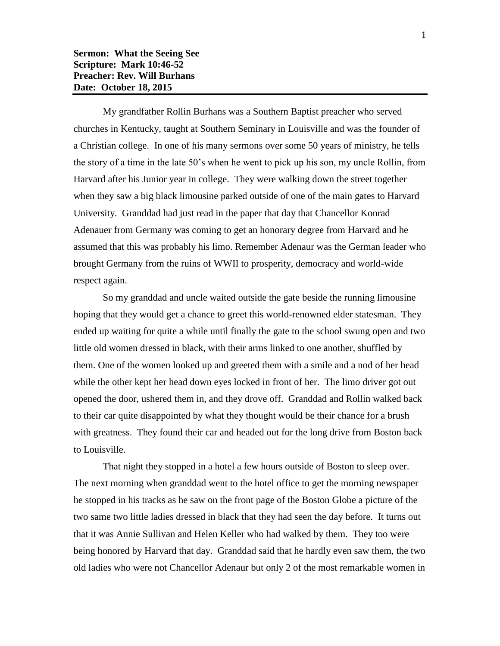My grandfather Rollin Burhans was a Southern Baptist preacher who served churches in Kentucky, taught at Southern Seminary in Louisville and was the founder of a Christian college. In one of his many sermons over some 50 years of ministry, he tells the story of a time in the late 50's when he went to pick up his son, my uncle Rollin, from Harvard after his Junior year in college. They were walking down the street together when they saw a big black limousine parked outside of one of the main gates to Harvard University. Granddad had just read in the paper that day that Chancellor Konrad Adenauer from Germany was coming to get an honorary degree from Harvard and he assumed that this was probably his limo. Remember Adenaur was the German leader who brought Germany from the ruins of WWII to prosperity, democracy and world-wide respect again.

So my granddad and uncle waited outside the gate beside the running limousine hoping that they would get a chance to greet this world-renowned elder statesman. They ended up waiting for quite a while until finally the gate to the school swung open and two little old women dressed in black, with their arms linked to one another, shuffled by them. One of the women looked up and greeted them with a smile and a nod of her head while the other kept her head down eyes locked in front of her. The limo driver got out opened the door, ushered them in, and they drove off. Granddad and Rollin walked back to their car quite disappointed by what they thought would be their chance for a brush with greatness. They found their car and headed out for the long drive from Boston back to Louisville.

That night they stopped in a hotel a few hours outside of Boston to sleep over. The next morning when granddad went to the hotel office to get the morning newspaper he stopped in his tracks as he saw on the front page of the Boston Globe a picture of the two same two little ladies dressed in black that they had seen the day before. It turns out that it was Annie Sullivan and Helen Keller who had walked by them. They too were being honored by Harvard that day. Granddad said that he hardly even saw them, the two old ladies who were not Chancellor Adenaur but only 2 of the most remarkable women in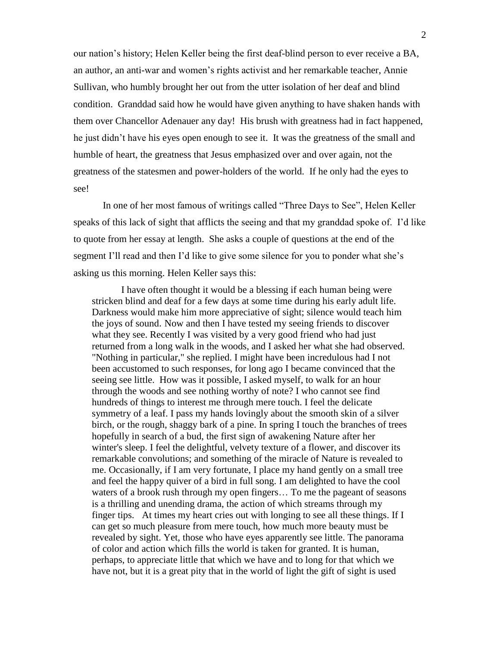our nation's history; Helen Keller being the first deaf-blind person to ever receive a BA, an author, an anti-war and women's rights activist and her remarkable teacher, Annie Sullivan, who humbly brought her out from the utter isolation of her deaf and blind condition. Granddad said how he would have given anything to have shaken hands with them over Chancellor Adenauer any day! His brush with greatness had in fact happened, he just didn't have his eyes open enough to see it. It was the greatness of the small and humble of heart, the greatness that Jesus emphasized over and over again, not the greatness of the statesmen and power-holders of the world. If he only had the eyes to see!

In one of her most famous of writings called "Three Days to See", Helen Keller speaks of this lack of sight that afflicts the seeing and that my granddad spoke of. I'd like to quote from her essay at length. She asks a couple of questions at the end of the segment I'll read and then I'd like to give some silence for you to ponder what she's asking us this morning. Helen Keller says this:

I have often thought it would be a blessing if each human being were stricken blind and deaf for a few days at some time during his early adult life. Darkness would make him more appreciative of sight; silence would teach him the joys of sound. Now and then I have tested my seeing friends to discover what they see. Recently I was visited by a very good friend who had just returned from a long walk in the woods, and I asked her what she had observed. "Nothing in particular," she replied. I might have been incredulous had I not been accustomed to such responses, for long ago I became convinced that the seeing see little. How was it possible, I asked myself, to walk for an hour through the woods and see nothing worthy of note? I who cannot see find hundreds of things to interest me through mere touch. I feel the delicate symmetry of a leaf. I pass my hands lovingly about the smooth skin of a silver birch, or the rough, shaggy bark of a pine. In spring I touch the branches of trees hopefully in search of a bud, the first sign of awakening Nature after her winter's sleep. I feel the delightful, velvety texture of a flower, and discover its remarkable convolutions; and something of the miracle of Nature is revealed to me. Occasionally, if I am very fortunate, I place my hand gently on a small tree and feel the happy quiver of a bird in full song. I am delighted to have the cool waters of a brook rush through my open fingers… To me the pageant of seasons is a thrilling and unending drama, the action of which streams through my finger tips. At times my heart cries out with longing to see all these things. If I can get so much pleasure from mere touch, how much more beauty must be revealed by sight. Yet, those who have eyes apparently see little. The panorama of color and action which fills the world is taken for granted. It is human, perhaps, to appreciate little that which we have and to long for that which we have not, but it is a great pity that in the world of light the gift of sight is used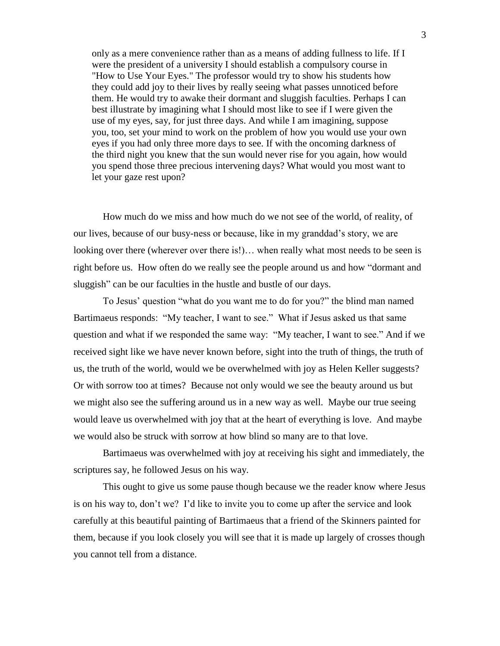only as a mere convenience rather than as a means of adding fullness to life. If I were the president of a university I should establish a compulsory course in "How to Use Your Eyes." The professor would try to show his students how they could add joy to their lives by really seeing what passes unnoticed before them. He would try to awake their dormant and sluggish faculties. Perhaps I can best illustrate by imagining what I should most like to see if I were given the use of my eyes, say, for just three days. And while I am imagining, suppose you, too, set your mind to work on the problem of how you would use your own eyes if you had only three more days to see. If with the oncoming darkness of the third night you knew that the sun would never rise for you again, how would you spend those three precious intervening days? What would you most want to let your gaze rest upon?

How much do we miss and how much do we not see of the world, of reality, of our lives, because of our busy-ness or because, like in my granddad's story, we are looking over there (wherever over there is!)… when really what most needs to be seen is right before us. How often do we really see the people around us and how "dormant and sluggish" can be our faculties in the hustle and bustle of our days.

To Jesus' question "what do you want me to do for you?" the blind man named Bartimaeus responds: "My teacher, I want to see." What if Jesus asked us that same question and what if we responded the same way: "My teacher, I want to see." And if we received sight like we have never known before, sight into the truth of things, the truth of us, the truth of the world, would we be overwhelmed with joy as Helen Keller suggests? Or with sorrow too at times? Because not only would we see the beauty around us but we might also see the suffering around us in a new way as well. Maybe our true seeing would leave us overwhelmed with joy that at the heart of everything is love. And maybe we would also be struck with sorrow at how blind so many are to that love.

Bartimaeus was overwhelmed with joy at receiving his sight and immediately, the scriptures say, he followed Jesus on his way.

This ought to give us some pause though because we the reader know where Jesus is on his way to, don't we? I'd like to invite you to come up after the service and look carefully at this beautiful painting of Bartimaeus that a friend of the Skinners painted for them, because if you look closely you will see that it is made up largely of crosses though you cannot tell from a distance.